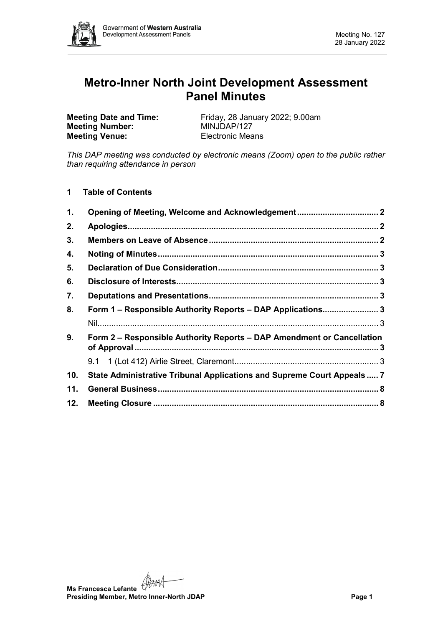

# **Metro-Inner North Joint Development Assessment Panel Minutes**

**Meeting Number: Meeting Venue:** Electronic Means

**Meeting Date and Time:** Friday, 28 January 2022; 9.00am<br> **MINJDAP/127** 

*This DAP meeting was conducted by electronic means (Zoom) open to the public rather than requiring attendance in person*

**1 Table of Contents**

| $\mathbf 1$ . |                                                                         |  |
|---------------|-------------------------------------------------------------------------|--|
| 2.            |                                                                         |  |
| 3.            |                                                                         |  |
| 4.            |                                                                         |  |
| 5.            |                                                                         |  |
| 6.            |                                                                         |  |
| 7.            |                                                                         |  |
| 8.            | Form 1 - Responsible Authority Reports - DAP Applications 3             |  |
|               |                                                                         |  |
| 9.            | Form 2 – Responsible Authority Reports – DAP Amendment or Cancellation  |  |
|               |                                                                         |  |
| 10.           | State Administrative Tribunal Applications and Supreme Court Appeals  7 |  |
| 11.           |                                                                         |  |
| 12.           |                                                                         |  |

**Ms Francesca Lefante**<br>Presiding **Ms Presiding Member, Metro Inner-North JDAP Page 1**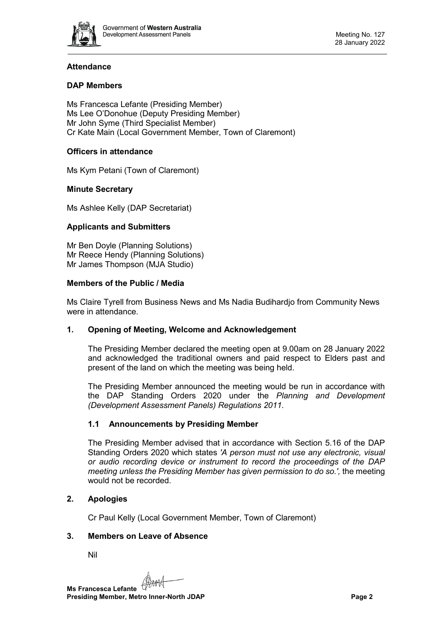

# **Attendance**

# **DAP Members**

Ms Francesca Lefante (Presiding Member) Ms Lee O'Donohue (Deputy Presiding Member) Mr John Syme (Third Specialist Member) Cr Kate Main (Local Government Member, Town of Claremont)

# **Officers in attendance**

Ms Kym Petani (Town of Claremont)

# **Minute Secretary**

Ms Ashlee Kelly (DAP Secretariat)

# **Applicants and Submitters**

Mr Ben Doyle (Planning Solutions) Mr Reece Hendy (Planning Solutions) Mr James Thompson (MJA Studio)

# **Members of the Public / Media**

Ms Claire Tyrell from Business News and Ms Nadia Budihardjo from Community News were in attendance.

# <span id="page-1-0"></span>**1. Opening of Meeting, Welcome and Acknowledgement**

The Presiding Member declared the meeting open at 9.00am on 28 January 2022 and acknowledged the traditional owners and paid respect to Elders past and present of the land on which the meeting was being held.

The Presiding Member announced the meeting would be run in accordance with the DAP Standing Orders 2020 under the *Planning and Development (Development Assessment Panels) Regulations 2011.*

# **1.1 Announcements by Presiding Member**

The Presiding Member advised that in accordance with Section 5.16 of the DAP Standing Orders 2020 which states *'A person must not use any electronic, visual or audio recording device or instrument to record the proceedings of the DAP meeting unless the Presiding Member has given permission to do so.',* the meeting would not be recorded.

# <span id="page-1-1"></span>**2. Apologies**

Cr Paul Kelly (Local Government Member, Town of Claremont)

# <span id="page-1-2"></span>**3. Members on Leave of Absence**

Nil

**Ms Francesca Lefante Presiding Member, Metro Inner-North JDAP Page 2**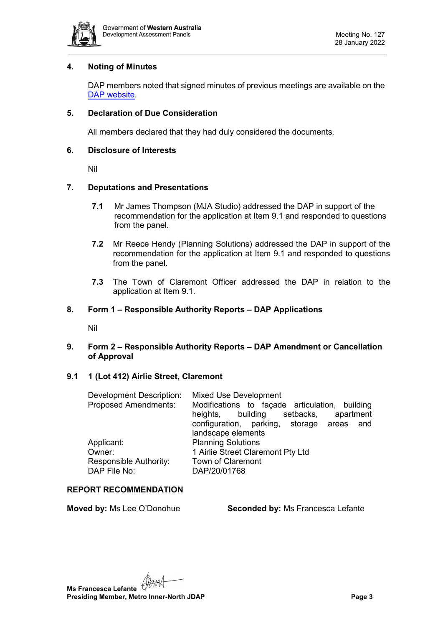

## <span id="page-2-0"></span>**4. Noting of Minutes**

DAP members noted that signed minutes of previous meetings are available on the [DAP website.](https://www.dplh.wa.gov.au/about/development-assessment-panels/daps-agendas-and-minutes)

## <span id="page-2-1"></span>**5. Declaration of Due Consideration**

All members declared that they had duly considered the documents.

#### <span id="page-2-2"></span>**6. Disclosure of Interests**

Nil

## <span id="page-2-3"></span>**7. Deputations and Presentations**

- **7.1** Mr James Thompson (MJA Studio) addressed the DAP in support of the recommendation for the application at Item 9.1 and responded to questions from the panel.
- **7.2** Mr Reece Hendy (Planning Solutions) addressed the DAP in support of the recommendation for the application at Item 9.1 and responded to questions from the panel.
- **7.3** The Town of Claremont Officer addressed the DAP in relation to the application at Item 9.1.

## <span id="page-2-5"></span><span id="page-2-4"></span>**8. Form 1 – Responsible Authority Reports – DAP Applications**

Nil

# <span id="page-2-6"></span>**9. Form 2 – Responsible Authority Reports – DAP Amendment or Cancellation of Approval**

#### <span id="page-2-7"></span>**9.1 1 (Lot 412) Airlie Street, Claremont**

| <b>Development Description:</b>        | Mixed Use Development                                                                         |
|----------------------------------------|-----------------------------------------------------------------------------------------------|
| <b>Proposed Amendments:</b>            | Modifications to façade articulation, building<br>setbacks,<br>apartment<br>heights, building |
|                                        | configuration, parking, storage areas and                                                     |
| Applicant:                             | <b>Planning Solutions</b>                                                                     |
| Owner:                                 | 1 Airlie Street Claremont Pty Ltd                                                             |
| Responsible Authority:<br>DAP File No: | Town of Claremont<br>DAP/20/01768                                                             |
|                                        | landscape elements                                                                            |

# **REPORT RECOMMENDATION**

**Moved by:** Ms Lee O'Donohue **Seconded by:** Ms Francesca Lefante

**Ms Francesca Lefante Presiding Member, Metro Inner-North JDAP Page 3**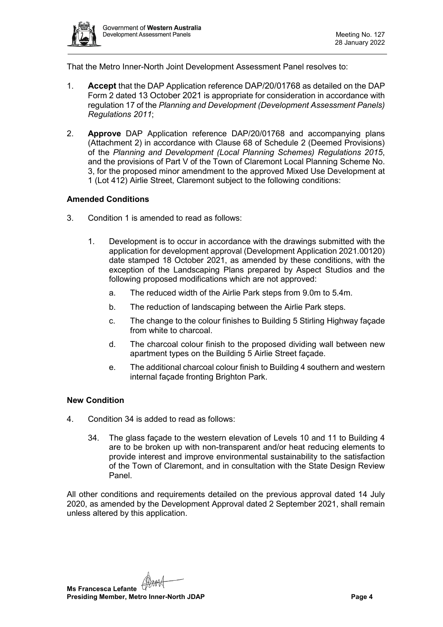

That the Metro Inner-North Joint Development Assessment Panel resolves to:

- 1. **Accept** that the DAP Application reference DAP/20/01768 as detailed on the DAP Form 2 dated 13 October 2021 is appropriate for consideration in accordance with regulation 17 of the *Planning and Development (Development Assessment Panels) Regulations 2011*;
- 2. **Approve** DAP Application reference DAP/20/01768 and accompanying plans (Attachment 2) in accordance with Clause 68 of Schedule 2 (Deemed Provisions) of the *Planning and Development (Local Planning Schemes) Regulations 2015*, and the provisions of Part V of the Town of Claremont Local Planning Scheme No. 3, for the proposed minor amendment to the approved Mixed Use Development at 1 (Lot 412) Airlie Street, Claremont subject to the following conditions:

## **Amended Conditions**

- 3. Condition 1 is amended to read as follows:
	- 1. Development is to occur in accordance with the drawings submitted with the application for development approval (Development Application 2021.00120) date stamped 18 October 2021, as amended by these conditions, with the exception of the Landscaping Plans prepared by Aspect Studios and the following proposed modifications which are not approved:
		- a. The reduced width of the Airlie Park steps from 9.0m to 5.4m.
		- b. The reduction of landscaping between the Airlie Park steps.
		- c. The change to the colour finishes to Building 5 Stirling Highway façade from white to charcoal.
		- d. The charcoal colour finish to the proposed dividing wall between new apartment types on the Building 5 Airlie Street façade.
		- e. The additional charcoal colour finish to Building 4 southern and western internal façade fronting Brighton Park.

#### **New Condition**

- 4. Condition 34 is added to read as follows:
	- 34. The glass façade to the western elevation of Levels 10 and 11 to Building 4 are to be broken up with non-transparent and/or heat reducing elements to provide interest and improve environmental sustainability to the satisfaction of the Town of Claremont, and in consultation with the State Design Review Panel.

All other conditions and requirements detailed on the previous approval dated 14 July 2020, as amended by the Development Approval dated 2 September 2021, shall remain unless altered by this application.

**Ms Francesca Lefante Presiding Member, Metro Inner-North JDAP Page 4**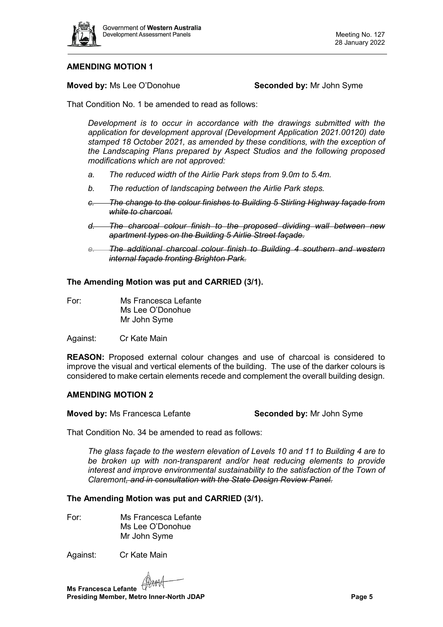

# **AMENDING MOTION 1**

**Moved by:** Ms Lee O'Donohue **Seconded by:** Mr John Syme

That Condition No. 1 be amended to read as follows:

*Development is to occur in accordance with the drawings submitted with the application for development approval (Development Application 2021.00120) date stamped 18 October 2021, as amended by these conditions, with the exception of the Landscaping Plans prepared by Aspect Studios and the following proposed modifications which are not approved:*

- *a. The reduced width of the Airlie Park steps from 9.0m to 5.4m.*
- *b. The reduction of landscaping between the Airlie Park steps.*
- *c. The change to the colour finishes to Building 5 Stirling Highway façade from white to charcoal.*
- *d. The charcoal colour finish to the proposed dividing wall between new apartment types on the Building 5 Airlie Street façade.*
- *e. The additional charcoal colour finish to Building 4 southern and western internal façade fronting Brighton Park.*

## **The Amending Motion was put and CARRIED (3/1).**

- For: Ms Francesca Lefante Ms Lee O'Donohue Mr John Syme
- Against: Cr Kate Main

**REASON:** Proposed external colour changes and use of charcoal is considered to improve the visual and vertical elements of the building. The use of the darker colours is considered to make certain elements recede and complement the overall building design.

#### **AMENDING MOTION 2**

**Moved by:** Ms Francesca Lefante **Seconded by:** Mr John Syme

That Condition No. 34 be amended to read as follows:

*The glass façade to the western elevation of Levels 10 and 11 to Building 4 are to be broken up with non-transparent and/or heat reducing elements to provide interest and improve environmental sustainability to the satisfaction of the Town of Claremont, and in consultation with the State Design Review Panel.*

## **The Amending Motion was put and CARRIED (3/1).**

For: Ms Francesca Lefante Ms Lee O'Donohue Mr John Syme

Against: Cr Kate Main

**Ms Francesca Lefante**<br>Prosidius ST **Presiding Member, Metro Inner-North JDAP Page 5**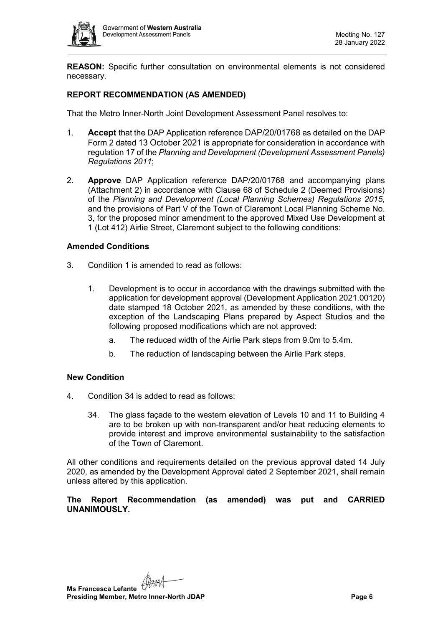

**REASON:** Specific further consultation on environmental elements is not considered necessary.

# **REPORT RECOMMENDATION (AS AMENDED)**

That the Metro Inner-North Joint Development Assessment Panel resolves to:

- 1. **Accept** that the DAP Application reference DAP/20/01768 as detailed on the DAP Form 2 dated 13 October 2021 is appropriate for consideration in accordance with regulation 17 of the *Planning and Development (Development Assessment Panels) Regulations 2011*;
- 2. **Approve** DAP Application reference DAP/20/01768 and accompanying plans (Attachment 2) in accordance with Clause 68 of Schedule 2 (Deemed Provisions) of the *Planning and Development (Local Planning Schemes) Regulations 2015*, and the provisions of Part V of the Town of Claremont Local Planning Scheme No. 3, for the proposed minor amendment to the approved Mixed Use Development at 1 (Lot 412) Airlie Street, Claremont subject to the following conditions:

# **Amended Conditions**

- 3. Condition 1 is amended to read as follows:
	- 1. Development is to occur in accordance with the drawings submitted with the application for development approval (Development Application 2021.00120) date stamped 18 October 2021, as amended by these conditions, with the exception of the Landscaping Plans prepared by Aspect Studios and the following proposed modifications which are not approved:
		- a. The reduced width of the Airlie Park steps from 9.0m to 5.4m.
		- b. The reduction of landscaping between the Airlie Park steps.

# **New Condition**

- 4. Condition 34 is added to read as follows:
	- 34. The glass façade to the western elevation of Levels 10 and 11 to Building 4 are to be broken up with non-transparent and/or heat reducing elements to provide interest and improve environmental sustainability to the satisfaction of the Town of Claremont.

All other conditions and requirements detailed on the previous approval dated 14 July 2020, as amended by the Development Approval dated 2 September 2021, shall remain unless altered by this application.

**The Report Recommendation (as amended) was put and CARRIED UNANIMOUSLY.**

**Ms Francesca Lefante Presiding Member, Metro Inner-North JDAP Page 6 Page 6**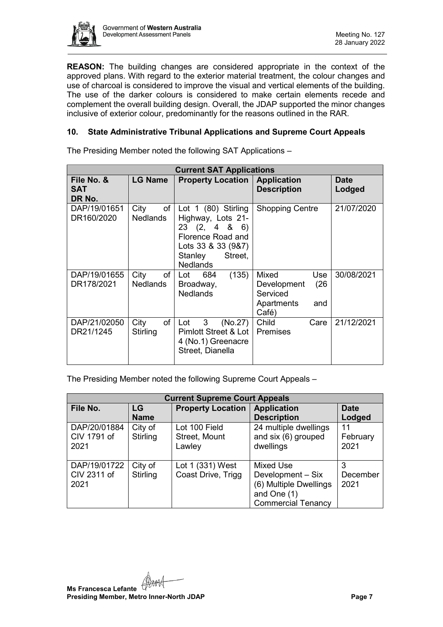

**REASON:** The building changes are considered appropriate in the context of the approved plans. With regard to the exterior material treatment, the colour changes and use of charcoal is considered to improve the visual and vertical elements of the building. The use of the darker colours is considered to make certain elements recede and complement the overall building design. Overall, the JDAP supported the minor changes inclusive of exterior colour, predominantly for the reasons outlined in the RAR.

# <span id="page-6-0"></span>**10. State Administrative Tribunal Applications and Supreme Court Appeals**

The Presiding Member noted the following SAT Applications –

| <b>Current SAT Applications</b>    |                               |                                                                                                                                              |                                                                               |                       |  |  |  |  |  |
|------------------------------------|-------------------------------|----------------------------------------------------------------------------------------------------------------------------------------------|-------------------------------------------------------------------------------|-----------------------|--|--|--|--|--|
| File No. &<br><b>SAT</b><br>DR No. | <b>LG Name</b>                | <b>Property Location   Application</b>                                                                                                       | <b>Description</b>                                                            | <b>Date</b><br>Lodged |  |  |  |  |  |
| DAP/19/01651<br>DR160/2020         | of<br>City<br><b>Nedlands</b> | Lot $1$ (80) Stirling<br>Highway, Lots 21-<br>23(2, 486)<br>Florence Road and<br>Lots 33 & 33 (9&7)<br>Stanley<br>Street,<br><b>Nedlands</b> | <b>Shopping Centre</b>                                                        | 21/07/2020            |  |  |  |  |  |
| DAP/19/01655<br>DR178/2021         | of<br>City<br><b>Nedlands</b> | (135)<br>684<br>Lot<br>Broadway,<br><b>Nedlands</b>                                                                                          | Mixed<br>Use<br>(26)<br>Development<br>Serviced<br>Apartments<br>and<br>Café) | 30/08/2021            |  |  |  |  |  |
| DAP/21/02050<br>DR21/1245          | of<br>City<br>Stirling        | 3 <sup>7</sup><br>(No.27)<br>Lot<br><b>Pimlott Street &amp; Lot</b><br>4 (No.1) Greenacre<br>Street, Dianella                                | Child<br>Care<br><b>Premises</b>                                              | 21/12/2021            |  |  |  |  |  |

The Presiding Member noted the following Supreme Court Appeals –

| <b>Current Supreme Court Appeals</b> |                     |                                          |                                                                                                             |                        |  |  |  |  |  |
|--------------------------------------|---------------------|------------------------------------------|-------------------------------------------------------------------------------------------------------------|------------------------|--|--|--|--|--|
| File No.                             | LG<br><b>Name</b>   | <b>Property Location</b>                 | <b>Application</b><br><b>Description</b>                                                                    | <b>Date</b><br>Lodged  |  |  |  |  |  |
| DAP/20/01884<br>CIV 1791 of<br>2021  | City of<br>Stirling | Lot 100 Field<br>Street, Mount<br>Lawley | 24 multiple dwellings<br>and six (6) grouped<br>dwellings                                                   | 11<br>February<br>2021 |  |  |  |  |  |
| DAP/19/01722<br>CIV 2311 of<br>2021  | City of<br>Stirling | Lot 1 (331) West<br>Coast Drive, Trigg   | <b>Mixed Use</b><br>Development - Six<br>(6) Multiple Dwellings<br>and One (1)<br><b>Commercial Tenancy</b> | December<br>2021       |  |  |  |  |  |

**Ms Francesca Lefante** (Hamed<br>Presiding 11 **Presiding Member, Metro Inner-North JDAP Page 7 Page 7**